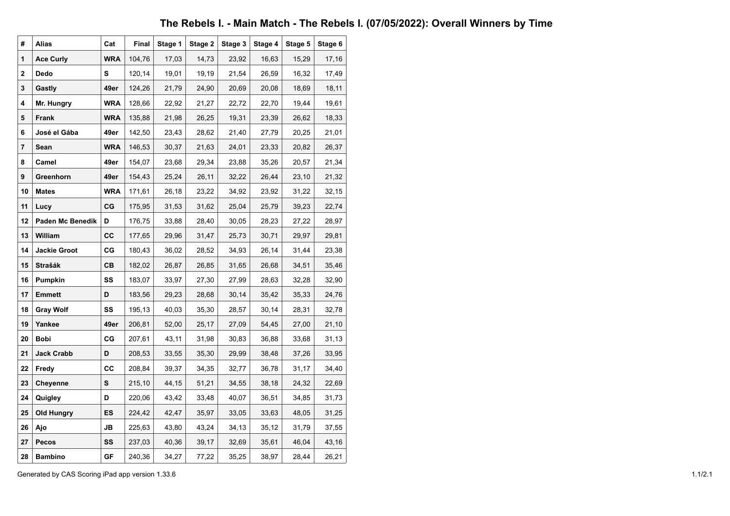## The Rebels I. - Main Match - The Rebels I. (07/05/2022): Overall Winners by Time

| #  | <b>Alias</b>        | Cat        | Final  | Stage 1 | Stage 2 | Stage 3 | Stage 4 | Stage 5 | Stage 6 |
|----|---------------------|------------|--------|---------|---------|---------|---------|---------|---------|
| 1  | <b>Ace Curly</b>    | <b>WRA</b> | 104,76 | 17,03   | 14,73   | 23,92   | 16,63   | 15,29   | 17,16   |
| 2  | Dedo                | s          | 120,14 | 19,01   | 19,19   | 21,54   | 26,59   | 16,32   | 17,49   |
| 3  | Gastly              | 49er       | 124,26 | 21,79   | 24,90   | 20,69   | 20,08   | 18,69   | 18,11   |
| 4  | Mr. Hungry          | <b>WRA</b> | 128,66 | 22,92   | 21,27   | 22,72   | 22,70   | 19,44   | 19,61   |
| 5  | Frank               | <b>WRA</b> | 135,88 | 21,98   | 26,25   | 19,31   | 23,39   | 26,62   | 18,33   |
| 6  | José el Gába        | 49er       | 142,50 | 23,43   | 28,62   | 21,40   | 27,79   | 20,25   | 21,01   |
| 7  | Sean                | <b>WRA</b> | 146,53 | 30,37   | 21,63   | 24,01   | 23,33   | 20,82   | 26,37   |
| 8  | Camel               | 49er       | 154,07 | 23,68   | 29,34   | 23,88   | 35,26   | 20,57   | 21,34   |
| 9  | Greenhorn           | 49er       | 154,43 | 25,24   | 26,11   | 32,22   | 26,44   | 23,10   | 21,32   |
| 10 | <b>Mates</b>        | <b>WRA</b> | 171,61 | 26,18   | 23,22   | 34,92   | 23,92   | 31,22   | 32,15   |
| 11 | Lucy                | CG         | 175,95 | 31,53   | 31,62   | 25,04   | 25,79   | 39,23   | 22,74   |
| 12 | Paden Mc Benedik    | D          | 176,75 | 33,88   | 28,40   | 30,05   | 28,23   | 27,22   | 28,97   |
| 13 | William             | СC         | 177,65 | 29,96   | 31,47   | 25,73   | 30,71   | 29,97   | 29,81   |
| 14 | <b>Jackie Groot</b> | СG         | 180,43 | 36,02   | 28,52   | 34,93   | 26,14   | 31,44   | 23,38   |
| 15 | Strašák             | CВ         | 182,02 | 26,87   | 26,85   | 31,65   | 26,68   | 34,51   | 35,46   |
| 16 | Pumpkin             | SS         | 183,07 | 33,97   | 27,30   | 27,99   | 28,63   | 32,28   | 32,90   |
| 17 | Emmett              | D          | 183,56 | 29,23   | 28,68   | 30,14   | 35,42   | 35,33   | 24,76   |
| 18 | <b>Gray Wolf</b>    | SS         | 195,13 | 40,03   | 35,30   | 28,57   | 30,14   | 28,31   | 32,78   |
| 19 | Yankee              | 49er       | 206,81 | 52,00   | 25,17   | 27,09   | 54,45   | 27,00   | 21,10   |
| 20 | <b>Bobi</b>         | СG         | 207,61 | 43,11   | 31,98   | 30,83   | 36,88   | 33,68   | 31,13   |
| 21 | <b>Jack Crabb</b>   | D          | 208,53 | 33,55   | 35,30   | 29,99   | 38,48   | 37,26   | 33,95   |
| 22 | Fredy               | СC         | 208,84 | 39,37   | 34,35   | 32,77   | 36,78   | 31,17   | 34,40   |
| 23 | Cheyenne            | S          | 215,10 | 44,15   | 51,21   | 34,55   | 38,18   | 24,32   | 22,69   |
| 24 | Quigley             | D          | 220,06 | 43,42   | 33,48   | 40,07   | 36,51   | 34,85   | 31,73   |
| 25 | Old Hungry          | ES         | 224,42 | 42,47   | 35,97   | 33,05   | 33,63   | 48,05   | 31,25   |
| 26 | Ajo                 | JB         | 225,63 | 43,80   | 43,24   | 34,13   | 35,12   | 31,79   | 37,55   |
| 27 | Pecos               | SS         | 237,03 | 40,36   | 39,17   | 32,69   | 35,61   | 46,04   | 43,16   |
| 28 | <b>Bambino</b>      | GF         | 240,36 | 34,27   | 77,22   | 35,25   | 38,97   | 28,44   | 26,21   |

Generated by CAS Scoring iPad app version 1.33.6